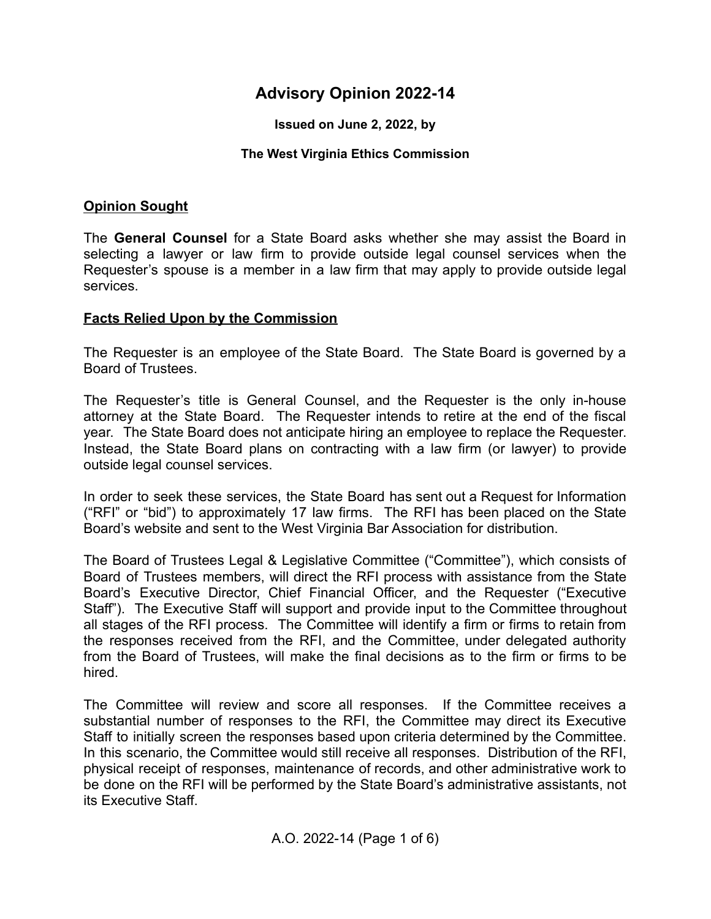# **Advisory Opinion 2022-14**

**Issued on June 2, 2022, by**

#### **The West Virginia Ethics Commission**

#### **Opinion Sought**

The **General Counsel** for a State Board asks whether she may assist the Board in selecting a lawyer or law firm to provide outside legal counsel services when the Requester's spouse is a member in a law firm that may apply to provide outside legal services.

#### **Facts Relied Upon by the Commission**

The Requester is an employee of the State Board. The State Board is governed by a Board of Trustees.

The Requester's title is General Counsel, and the Requester is the only in-house attorney at the State Board. The Requester intends to retire at the end of the fiscal year. The State Board does not anticipate hiring an employee to replace the Requester. Instead, the State Board plans on contracting with a law firm (or lawyer) to provide outside legal counsel services.

In order to seek these services, the State Board has sent out a Request for Information ("RFI" or "bid") to approximately 17 law firms. The RFI has been placed on the State Board's website and sent to the West Virginia Bar Association for distribution.

The Board of Trustees Legal & Legislative Committee ("Committee"), which consists of Board of Trustees members, will direct the RFI process with assistance from the State Board's Executive Director, Chief Financial Officer, and the Requester ("Executive Staff"). The Executive Staff will support and provide input to the Committee throughout all stages of the RFI process. The Committee will identify a firm or firms to retain from the responses received from the RFI, and the Committee, under delegated authority from the Board of Trustees, will make the final decisions as to the firm or firms to be hired.

The Committee will review and score all responses. If the Committee receives a substantial number of responses to the RFI, the Committee may direct its Executive Staff to initially screen the responses based upon criteria determined by the Committee. In this scenario, the Committee would still receive all responses. Distribution of the RFI, physical receipt of responses, maintenance of records, and other administrative work to be done on the RFI will be performed by the State Board's administrative assistants, not its Executive Staff.

A.O. 2022-14 (Page 1 of 6)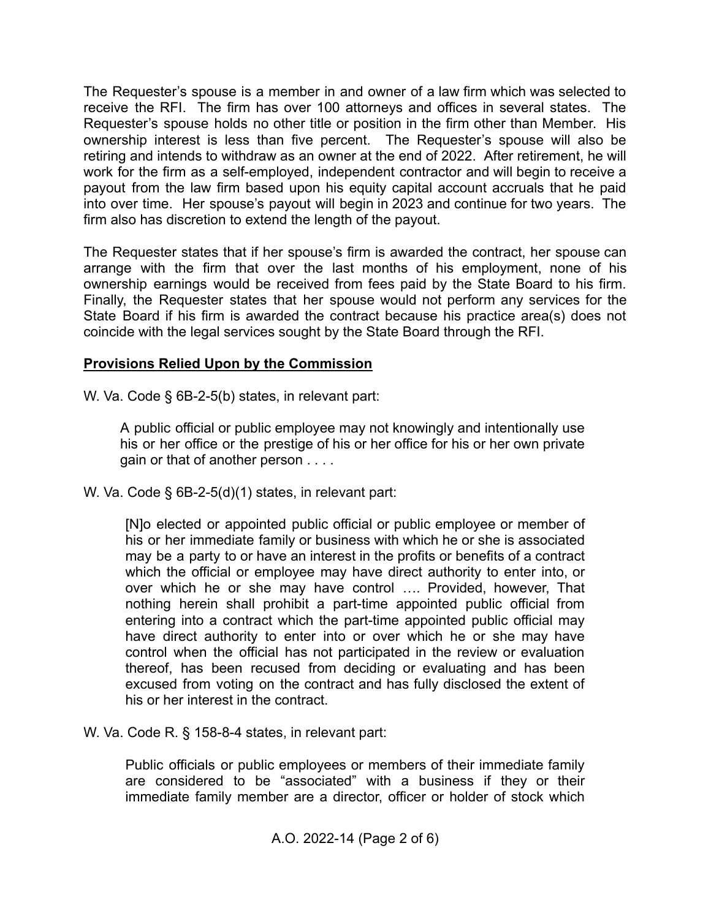The Requester's spouse is a member in and owner of a law firm which was selected to receive the RFI. The firm has over 100 attorneys and offices in several states. The Requester's spouse holds no other title or position in the firm other than Member. His ownership interest is less than five percent. The Requester's spouse will also be retiring and intends to withdraw as an owner at the end of 2022. After retirement, he will work for the firm as a self-employed, independent contractor and will begin to receive a payout from the law firm based upon his equity capital account accruals that he paid into over time. Her spouse's payout will begin in 2023 and continue for two years. The firm also has discretion to extend the length of the payout.

The Requester states that if her spouse's firm is awarded the contract, her spouse can arrange with the firm that over the last months of his employment, none of his ownership earnings would be received from fees paid by the State Board to his firm. Finally, the Requester states that her spouse would not perform any services for the State Board if his firm is awarded the contract because his practice area(s) does not coincide with the legal services sought by the State Board through the RFI.

### **Provisions Relied Upon by the Commission**

W. Va. Code § 6B-2-5(b) states, in relevant part:

A public official or public employee may not knowingly and intentionally use his or her office or the prestige of his or her office for his or her own private gain or that of another person . . . .

W. Va. Code § 6B-2-5(d)(1) states, in relevant part:

[N]o elected or appointed public official or public employee or member of his or her immediate family or business with which he or she is associated may be a party to or have an interest in the profits or benefits of a contract which the official or employee may have direct authority to enter into, or over which he or she may have control …. Provided, however, That nothing herein shall prohibit a part-time appointed public official from entering into a contract which the part-time appointed public official may have direct authority to enter into or over which he or she may have control when the official has not participated in the review or evaluation thereof, has been recused from deciding or evaluating and has been excused from voting on the contract and has fully disclosed the extent of his or her interest in the contract.

W. Va. Code R. § 158-8-4 states, in relevant part:

Public officials or public employees or members of their immediate family are considered to be "associated" with a business if they or their immediate family member are a director, officer or holder of stock which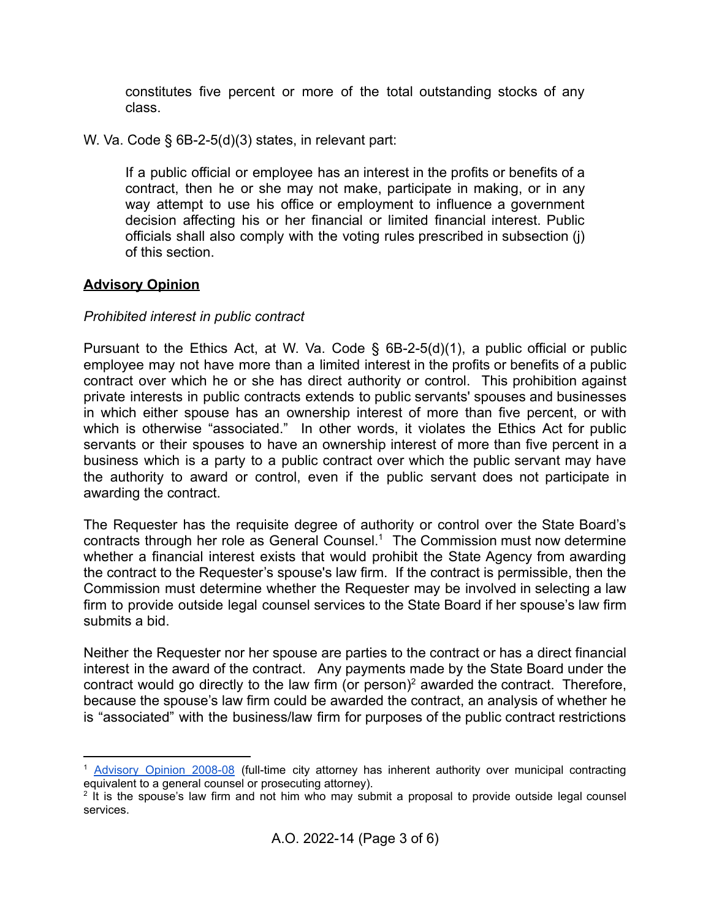constitutes five percent or more of the total outstanding stocks of any class.

W. Va. Code § 6B-2-5(d)(3) states, in relevant part:

If a public official or employee has an interest in the profits or benefits of a contract, then he or she may not make, participate in making, or in any way attempt to use his office or employment to influence a government decision affecting his or her financial or limited financial interest. Public officials shall also comply with the voting rules prescribed in subsection (j) of this section.

# **Advisory Opinion**

## *Prohibited interest in public contract*

Pursuant to the Ethics Act, at W. Va. Code  $\S$  6B-2-5(d)(1), a public official or public employee may not have more than a limited interest in the profits or benefits of a public contract over which he or she has direct authority or control. This prohibition against private interests in public contracts extends to public servants' spouses and businesses in which either spouse has an ownership interest of more than five percent, or with which is otherwise "associated." In other words, it violates the Ethics Act for public servants or their spouses to have an ownership interest of more than five percent in a business which is a party to a public contract over which the public servant may have the authority to award or control, even if the public servant does not participate in awarding the contract.

The Requester has the requisite degree of authority or control over the State Board's contracts through her role as General Counsel.<sup>1</sup> The Commission must now determine whether a financial interest exists that would prohibit the State Agency from awarding the contract to the Requester's spouse's law firm. If the contract is permissible, then the Commission must determine whether the Requester may be involved in selecting a law firm to provide outside legal counsel services to the State Board if her spouse's law firm submits a bid.

Neither the Requester nor her spouse are parties to the contract or has a direct financial interest in the award of the contract. Any payments made by the State Board under the contract would go directly to the law firm (or person)<sup>2</sup> awarded the contract. Therefore, because the spouse's law firm could be awarded the contract, an analysis of whether he is "associated" with the business/law firm for purposes of the public contract restrictions

<sup>1</sup> [Advisory](https://ethics.wv.gov/SiteCollectionDocuments/PDF%20Advisory%20Opinions/2021-Opinions/AO%202021-11%20City.pdf) Opinion 2008-08 (full-time city attorney has inherent authority over municipal contracting equivalent to a general counsel or prosecuting attorney).

<sup>&</sup>lt;sup>2</sup> It is the spouse's law firm and not him who may submit a proposal to provide outside legal counsel services.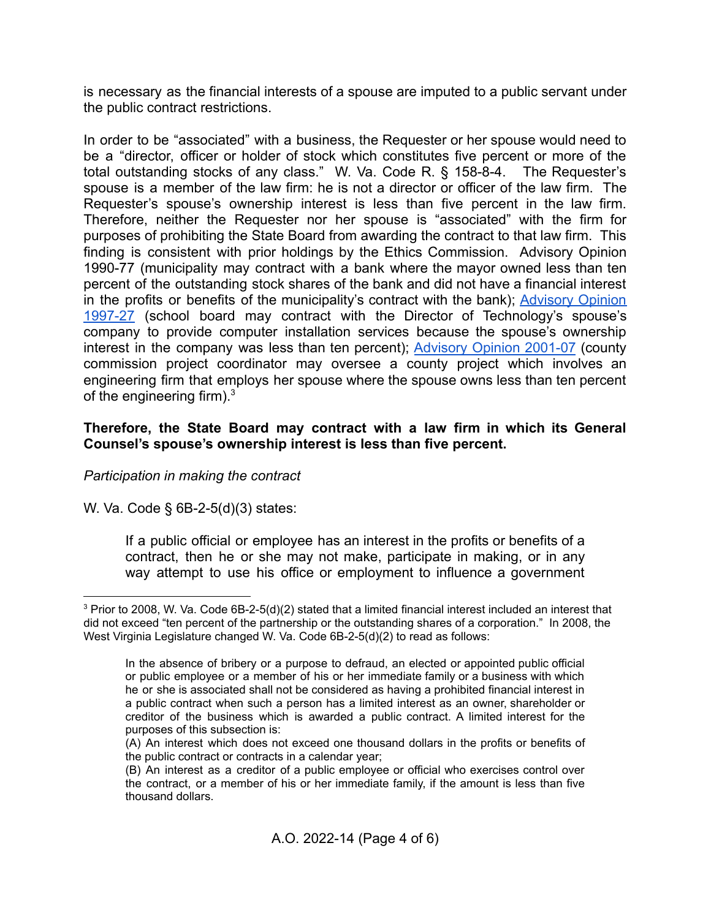is necessary as the financial interests of a spouse are imputed to a public servant under the public contract restrictions.

In order to be "associated" with a business, the Requester or her spouse would need to be a "director, officer or holder of stock which constitutes five percent or more of the total outstanding stocks of any class." W. Va. Code R. § 158-8-4. The Requester's spouse is a member of the law firm: he is not a director or officer of the law firm. The Requester's spouse's ownership interest is less than five percent in the law firm. Therefore, neither the Requester nor her spouse is "associated" with the firm for purposes of prohibiting the State Board from awarding the contract to that law firm. This finding is consistent with prior holdings by the Ethics Commission. Advisory Opinion 1990-77 (municipality may contract with a bank where the mayor owned less than ten percent of the outstanding stock shares of the bank and did not have a financial interest in the profits or benefits of the municipality's contract with the bank); [Advisory](https://ethics.wv.gov/SiteCollectionDocuments/PDF%20Advisory%20Opinions/1997-Opinions/AO%201997-27.pdf) Opinion [1997-27](https://ethics.wv.gov/SiteCollectionDocuments/PDF%20Advisory%20Opinions/1997-Opinions/AO%201997-27.pdf) (school board may contract with the Director of Technology's spouse's company to provide computer installation services because the spouse's ownership interest in the company was less than ten percent); [Advisory](https://ethics.wv.gov/SiteCollectionDocuments/PDF%20Advisory%20Opinions/2001-Opinions/2001-07%20Cty%20Commission%27s%20Proj%20Coord.pdf) Opinion 2001-07 (county commission project coordinator may oversee a county project which involves an engineering firm that employs her spouse where the spouse owns less than ten percent of the engineering firm). $3\overline{ }$ 

### **Therefore, the State Board may contract with a law firm in which its General Counsel's spouse's ownership interest is less than five percent.**

### *Participation in making the contract*

W. Va. Code § 6B-2-5(d)(3) states:

If a public official or employee has an interest in the profits or benefits of a contract, then he or she may not make, participate in making, or in any way attempt to use his office or employment to influence a government

<sup>3</sup> Prior to 2008, W. Va. Code 6B-2-5(d)(2) stated that a limited financial interest included an interest that did not exceed "ten percent of the partnership or the outstanding shares of a corporation." In 2008, the West Virginia Legislature changed W. Va. Code 6B-2-5(d)(2) to read as follows:

In the absence of bribery or a purpose to defraud, an elected or appointed public official or public employee or a member of his or her immediate family or a business with which he or she is associated shall not be considered as having a prohibited financial interest in a public contract when such a person has a limited interest as an owner, shareholder or creditor of the business which is awarded a public contract. A limited interest for the purposes of this subsection is:

<sup>(</sup>A) An interest which does not exceed one thousand dollars in the profits or benefits of the public contract or contracts in a calendar year;

<sup>(</sup>B) An interest as a creditor of a public employee or official who exercises control over the contract, or a member of his or her immediate family, if the amount is less than five thousand dollars.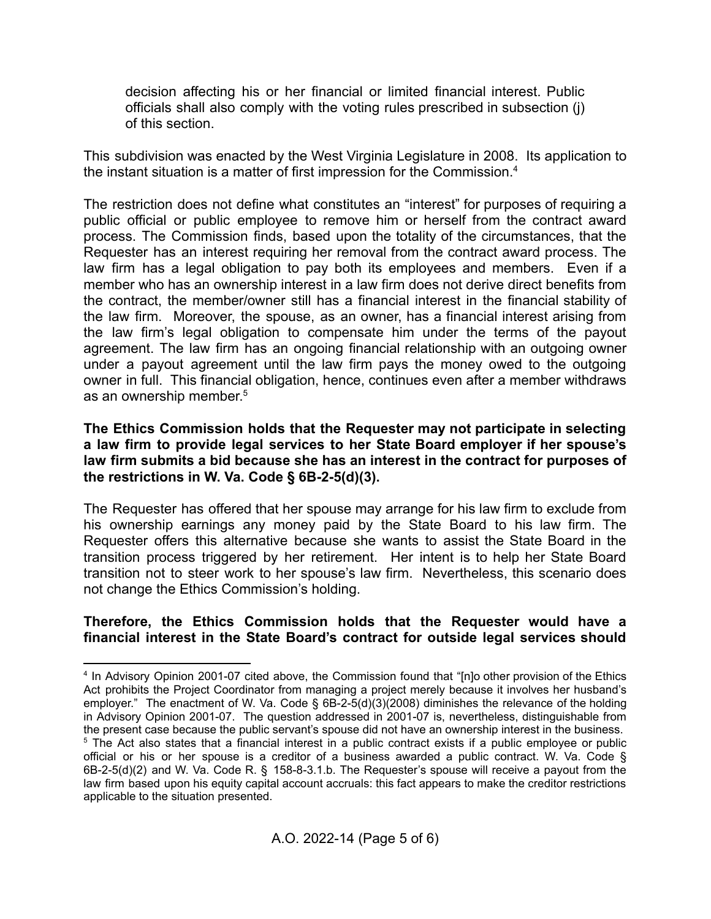decision affecting his or her financial or limited financial interest. Public officials shall also comply with the voting rules prescribed in subsection (j) of this section.

This subdivision was enacted by the West Virginia Legislature in 2008. Its application to the instant situation is a matter of first impression for the Commission.<sup>4</sup>

The restriction does not define what constitutes an "interest" for purposes of requiring a public official or public employee to remove him or herself from the contract award process. The Commission finds, based upon the totality of the circumstances, that the Requester has an interest requiring her removal from the contract award process. The law firm has a legal obligation to pay both its employees and members. Even if a member who has an ownership interest in a law firm does not derive direct benefits from the contract, the member/owner still has a financial interest in the financial stability of the law firm. Moreover, the spouse, as an owner, has a financial interest arising from the law firm's legal obligation to compensate him under the terms of the payout agreement. The law firm has an ongoing financial relationship with an outgoing owner under a payout agreement until the law firm pays the money owed to the outgoing owner in full. This financial obligation, hence, continues even after a member withdraws as an ownership member. 5

### **The Ethics Commission holds that the Requester may not participate in selecting a law firm to provide legal services to her State Board employer if her spouse's law firm submits a bid because she has an interest in the contract for purposes of the restrictions in W. Va. Code § 6B-2-5(d)(3).**

The Requester has offered that her spouse may arrange for his law firm to exclude from his ownership earnings any money paid by the State Board to his law firm. The Requester offers this alternative because she wants to assist the State Board in the transition process triggered by her retirement. Her intent is to help her State Board transition not to steer work to her spouse's law firm. Nevertheless, this scenario does not change the Ethics Commission's holding.

## **Therefore, the Ethics Commission holds that the Requester would have a financial interest in the State Board's contract for outside legal services should**

<sup>&</sup>lt;sup>5</sup> The Act also states that a financial interest in a public contract exists if a public employee or public official or his or her spouse is a creditor of a business awarded a public contract. W. Va. Code § 4 In Advisory Opinion 2001-07 cited above, the Commission found that "[n]o other provision of the Ethics Act prohibits the Project Coordinator from managing a project merely because it involves her husband's employer." The enactment of W. Va. Code § 6B-2-5(d)(3)(2008) diminishes the relevance of the holding in Advisory Opinion 2001-07. The question addressed in 2001-07 is, nevertheless, distinguishable from the present case because the public servant's spouse did not have an ownership interest in the business.

<sup>6</sup>B-2-5(d)(2) and W. Va. Code R. § 158-8-3.1.b. The Requester's spouse will receive a payout from the law firm based upon his equity capital account accruals: this fact appears to make the creditor restrictions applicable to the situation presented.